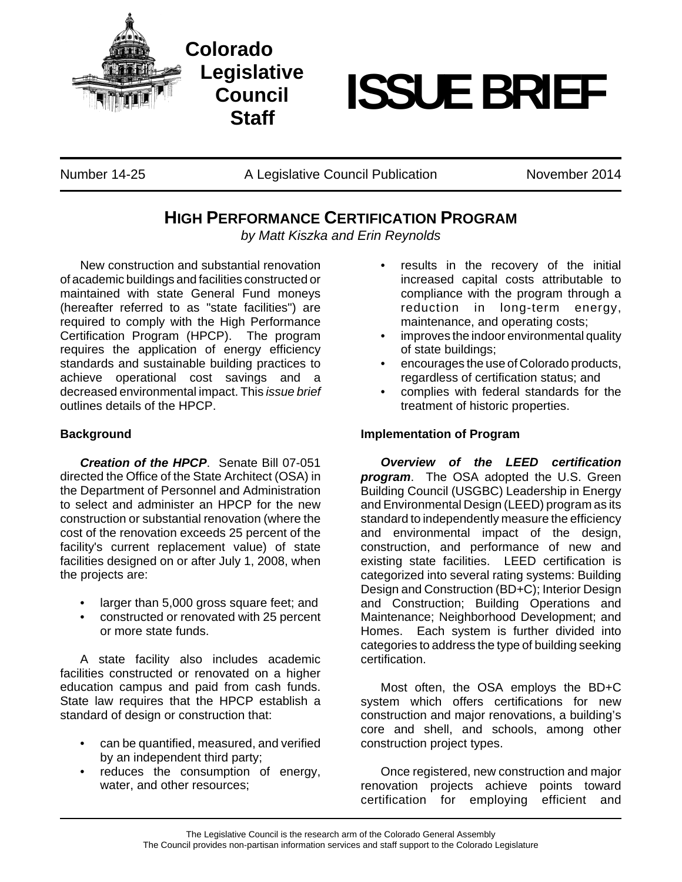

## **ISSUE BRIEF**

Number 14-25 A Legislative Council Publication November 2014

**Staff**

## **HIGH PERFORMANCE CERTIFICATION PROGRAM**

*by Matt Kiszka and Erin Reynolds*

New construction and substantial renovation of academic buildings and facilities constructed or maintained with state General Fund moneys (hereafter referred to as "state facilities") are required to comply with the High Performance Certification Program (HPCP). The program requires the application of energy efficiency standards and sustainable building practices to achieve operational cost savings and a decreased environmental impact. This *issue brief* outlines details of the HPCP.

## **Background**

*Creation of the HPCP*.Senate Bill 07-051 directed the Office of the State Architect (OSA) in the Department of Personnel and Administration to select and administer an HPCP for the new construction or substantial renovation (where the cost of the renovation exceeds 25 percent of the facility's current replacement value) of state facilities designed on or after July 1, 2008, when the projects are:

- larger than 5,000 gross square feet; and
- constructed or renovated with 25 percent or more state funds.

A state facility also includes academic facilities constructed or renovated on a higher education campus and paid from cash funds. State law requires that the HPCP establish a standard of design or construction that:

- can be quantified, measured, and verified by an independent third party;
- reduces the consumption of energy, water, and other resources;
- results in the recovery of the initial increased capital costs attributable to compliance with the program through a reduction in long-term energy, maintenance, and operating costs;
- improves the indoor environmental quality of state buildings;
- encourages the use of Colorado products, regardless of certification status; and
- complies with federal standards for the treatment of historic properties.

## **Implementation of Program**

*Overview of the LEED certification program*.The OSA adopted the U.S. Green Building Council (USGBC) Leadership in Energy and Environmental Design (LEED) program as its standard to independently measure the efficiency and environmental impact of the design, construction, and performance of new and existing state facilities. LEED certification is categorized into several rating systems: Building Design and Construction (BD+C); Interior Design and Construction; Building Operations and Maintenance; Neighborhood Development; and Homes. Each system is further divided into categories to address the type of building seeking certification.

Most often, the OSA employs the BD+C system which offers certifications for new construction and major renovations, a building's core and shell, and schools, among other construction project types.

Once registered, new construction and major renovation projects achieve points toward certification for employing efficient and